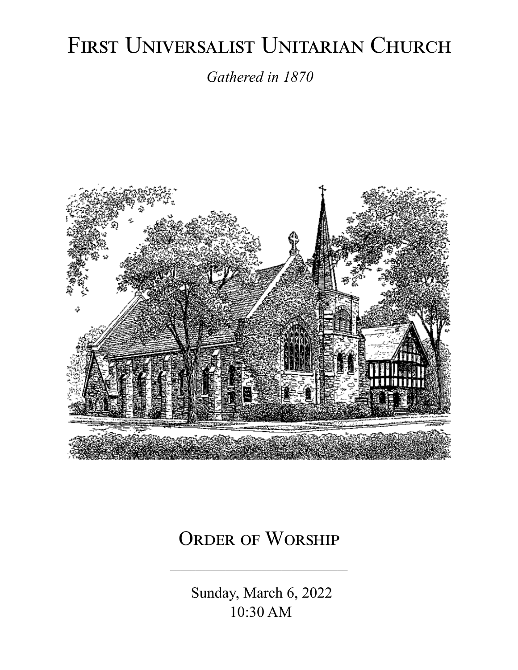# FIRST UNIVERSALIST UNITARIAN CHURCH

*Gathered in 1870*



# ORDER OF WORSHIP

 Sunday, March 6, 2022 10:30 AM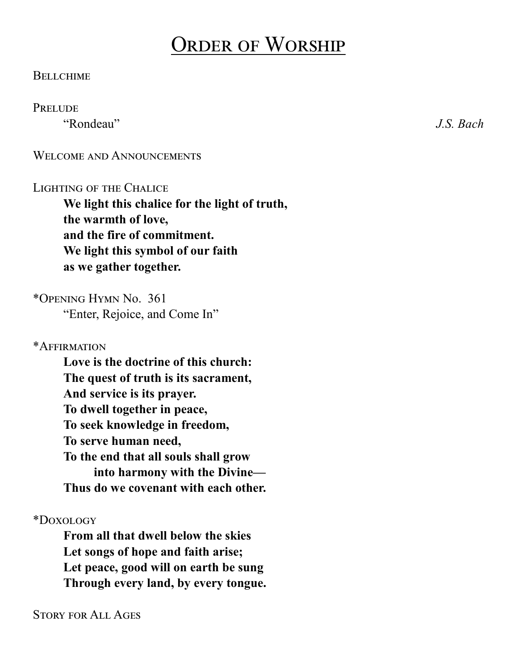# Order of Worship

#### **BELLCHIME**

#### **PRELUDE**

"Rondeau" *J.S. Bach*

WELCOME AND ANNOUNCEMENTS

#### LIGHTING OF THE CHALICE

**We light this chalice for the light of truth, the warmth of love, and the fire of commitment. We light this symbol of our faith as we gather together.**

\*Opening Hymn No. 361 "Enter, Rejoice, and Come In"

\*Affirmation

**Love is the doctrine of this church: The quest of truth is its sacrament, And service is its prayer. To dwell together in peace, To seek knowledge in freedom, To serve human need, To the end that all souls shall grow into harmony with the Divine— Thus do we covenant with each other.**

\*Doxology

**From all that dwell below the skies Let songs of hope and faith arise; Let peace, good will on earth be sung Through every land, by every tongue.**

Story for All Ages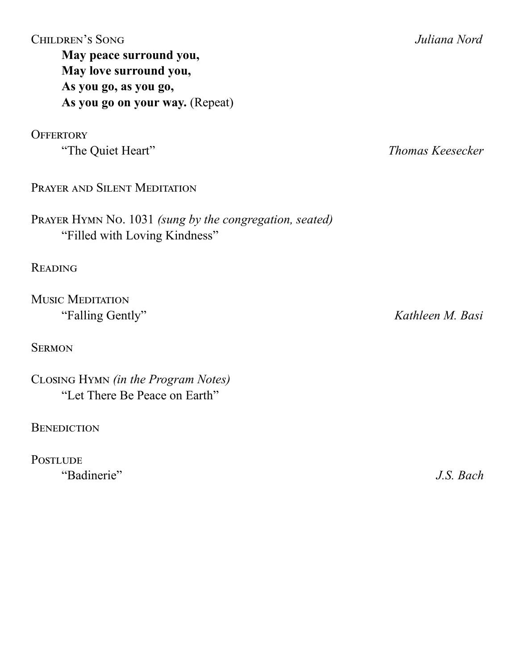Children's Song *Juliana Nord* **May peace surround you, May love surround you, As you go, as you go, As you go on your way.** (Repeat)

**OFFERTORY** 

Prayer and Silent Meditation

Prayer Hymn No. 1031 *(sung by the congregation, seated)* "Filled with Loving Kindness"

**READING** 

Music Meditation

**SERMON** 

Closing Hymn *(in the Program Notes)* "Let There Be Peace on Earth"

**BENEDICTION** 

**POSTLUDE** "Badinerie" *J.S. Bach*

"The Quiet Heart" *Thomas Keesecker*

"Falling Gently" *Kathleen M. Basi*